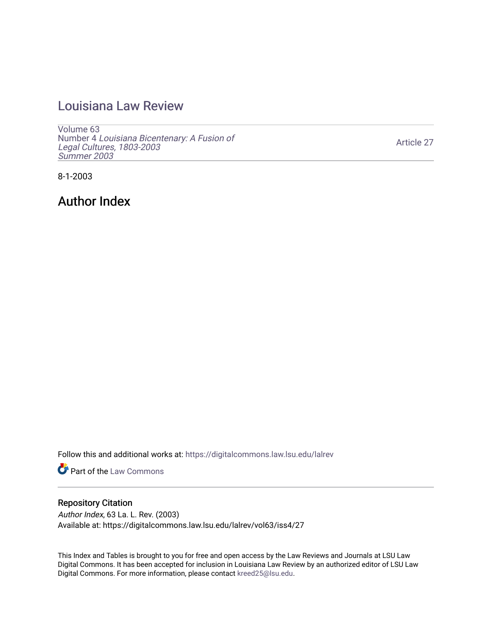## [Louisiana Law Review](https://digitalcommons.law.lsu.edu/lalrev)

[Volume 63](https://digitalcommons.law.lsu.edu/lalrev/vol63) Number 4 [Louisiana Bicentenary: A Fusion of](https://digitalcommons.law.lsu.edu/lalrev/vol63/iss4) [Legal Cultures, 1803-2003](https://digitalcommons.law.lsu.edu/lalrev/vol63/iss4) [Summer 2003](https://digitalcommons.law.lsu.edu/lalrev/vol63/iss4) 

[Article 27](https://digitalcommons.law.lsu.edu/lalrev/vol63/iss4/27) 

8-1-2003

Author Index

Follow this and additional works at: [https://digitalcommons.law.lsu.edu/lalrev](https://digitalcommons.law.lsu.edu/lalrev?utm_source=digitalcommons.law.lsu.edu%2Flalrev%2Fvol63%2Fiss4%2F27&utm_medium=PDF&utm_campaign=PDFCoverPages)

**Part of the [Law Commons](https://network.bepress.com/hgg/discipline/578?utm_source=digitalcommons.law.lsu.edu%2Flalrev%2Fvol63%2Fiss4%2F27&utm_medium=PDF&utm_campaign=PDFCoverPages)** 

### Repository Citation

Author Index, 63 La. L. Rev. (2003) Available at: https://digitalcommons.law.lsu.edu/lalrev/vol63/iss4/27

This Index and Tables is brought to you for free and open access by the Law Reviews and Journals at LSU Law Digital Commons. It has been accepted for inclusion in Louisiana Law Review by an authorized editor of LSU Law Digital Commons. For more information, please contact [kreed25@lsu.edu.](mailto:kreed25@lsu.edu)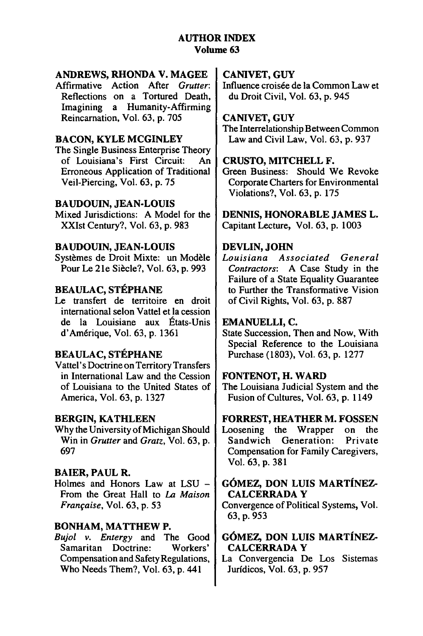### **ANDREWS, RHONDA V. MAGEE**

Affirmative Action After Grutter: Reflections on a Tortured Death, Imagining a Humanity-Affirming Reincarnation, Vol. 63, **p. 705** 

### **BACON, KYLE MCGINLEY**

The Single Business Enterprise Theory of Louisiana's First Circuit: An Erroneous Application of Traditional Veil-Piercing, Vol. 63, p. 75

### **BAUDOUIN, JEAN-LOUIS**

Mixed Jurisdictions: A Model for the XXIst Century?, Vol. 63, p. 983

### BAUDOUIN, JEAN-LOUIS

Systèmes de Droit Mixte: un Modèle Pour Le 21e Siècle?, Vol. 63, p. 993

### **BEAULAC, STÉPHANE**

Le transfert de territoire en droit international selon Vattel et la cession de la Louisiane aux Etats-Unis d'Am6rique, Vol. 63, p. 1361

### **BEAULAC, STÉPHANE**

Vattel' s Doctrine on Territory Transfers in International Law and the Cession of Louisiana to the United States of America, Vol. 63, p. 1327

### BERGIN, **KATHLEEN**

Why the University of Michigan Should Win in *Grutter* and *Gratz*, Vol. 63, p. 697

### **BAIER, PAUL R.**

Holmes and Honors Law at LSU - From the Great Hall to *La Maison Fran~aise,*Vol. 63, p. 53

### **BONHAM, MATTHEW P.**

Bujol v. Entergy and The Good Samaritan Doctrine: Workers' Compensation and Safety Regulations, Who Needs Them?, Vol. 63, p. 441

### **CANIVET, GUY**

Influence croisée de la Common Law et du Droit Civil, Vol. 63, p. 945

### **CANIVET, GUY**

The Interrelationship Between Common Law and Civil Law, Vol. 63, p. 937

### **CRUSTO,** MITCHELL F.

Green Business: Should We Revoke Corporate Charters for Environmental Violations?, Vol. 63, p. 175

**DENNIS, HONORABLE JAMES** L. Capitant Lecture, Vol. 63, p. 1003

### **DEVLIN, JOHN**

*Louisiana Associated General Contractors:* A Case Study in the Failure of a State Equality Guarantee to Further the Transformative Vision of Civil Rights, Vol. 63, p. 887

### EMANUELLI, **C.**

State Succession, Then and Now, With Special Reference to the Louisiana Purchase (1803), Vol. 63, p. 1277

### FONTENOT, H. WARD

The Louisiana Judicial System and the Fusion of Cultures, Vol. 63, p. 1149

### FORREST, HEATHER M. **FOSSEN**

Loosening the Wrapper on the Sandwich Generation: Private Compensation for Family Caregivers, Vol. 63, p. 381

### **GOMEZ, DON LUIS MARTiNEZ-CALCERRADA Y**

Convergence of Political Systems, Vol. **63,** p. 953

### GOMEZ, **DON** LUIS MARTINEZ-**CALCERRADA Y**

La Convergencia De Los Sistemas Jurfdicos, Vol. 63, **p. 957**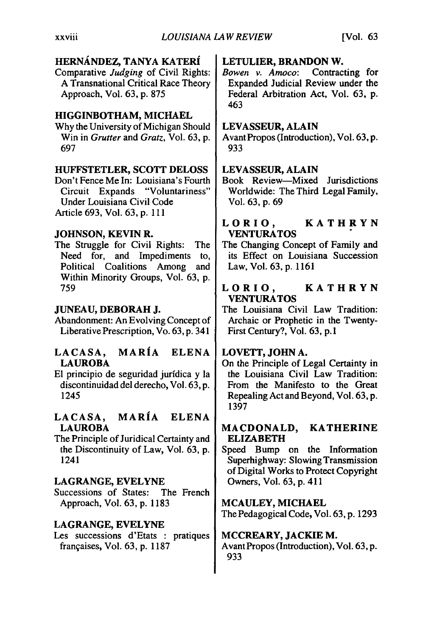### **HERN.ANDEZ, TANYA** KATERi **LETULIER, BRANDON W.**

Comparative *Judging* of Civil Rights: *Bowen v. Amoco:* Contracting for

### **HIGGINBOTHAM, MICHAEL**

Why the University of Michigan Should **LEVASSEUR, ALAIN**  697 **933** 

### **HUFFSTETLER, SCOTT DELOSS | LEVASSEUR, ALAIN**

Under Louisiana Civil Code Vol. 63, p. 69 Article 693, Vol. 63, p. 111

### **JOHNSON, KEVIN** R. **VENTURATOS**

The Struggle for Civil Rights: The The Changing Concept of Family and Political Coalitions Among and Law, Vol. 63, p. 1161 Within Minority Groups, Vol. 63, p.

Liberative Prescription, Vo.  $63$ , p.  $341$  First Century?, Vol.  $63$ , p. 1

### **LACASA, MARIA ELENA LOVETT, JOHN A.**  LAUROBA **Department of Legal Certainty in** On the Principle of Legal Certainty in

El principio de seguridad jurídica y la  $\parallel$  the Louisiana Civil Law Tradition:

# **LACASA, MARIA ELENA**

The Principle of Juridical Certainty and **ELIZABETH** 

### LAGRANGE, EVELYNE | Owners, Vol. 63, p. 411

Successions of States: The French Approach, Vol. 63, p. 1183 **MCAULEY, MICHAEL** 

### **LAGRANGE, EVELYNE**

Les successions d'Etats : pratiques **MCCREARY, JACKIE** M. frangaises, Vol. 63, p. 1187 Avant Propos (Introduction), Vol. **63, p.** 

A Transnational Critical Race Theory Expanded Judicial Review under the Approach, Vol. 63, p. 875 Federal Arbitration Act, Vol. 63, p. 463

Win in *Grutter* and *Gratz*, Vol. 63, p. Avant Propos (Introduction), Vol. 63, p.

Don't Fence Me In: Louisiana's Fourth | Book Review—Mixed Jurisdictions<br>Circuit Expands "Voluntariness" | Worldwide: The Third Legal Family, Worldwide: The Third Legal Family,

## **LORIO, KATHRYN**

Need for, and Impediments to, its Effect on Louisiana Succession

### <sup>759</sup>**LORIO, KATHRYN VENTURATOS**

**JUNEAU, DEBORAH J.** The Louisiana Civil Law Tradition: Abandonment: An Evolving Concept of | Archaic or Prophetic in the Twenty-

discontinuidad del derecho, Vol. 63, p.  $\parallel$  From the Manifesto to the Great 1245 **Repealing Act and Beyond, Vol. 63, p.** 1397

## **LAUROBA MACDONALD, KATHERINE**

the Discontinuity of Law, Vol. 63, p.  $\vert$  Speed Bump on the Information 1241 Superhighway: Slowing Transmission of Digital Works to Protect Copyright

The Pedagogical Code, Vol. **63, p.** 1293

**933**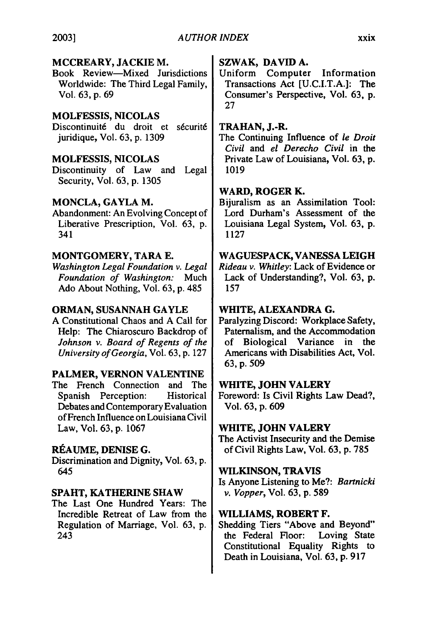### **MCCREARY, JACKIE M.**

Book Review-Mixed Jurisdictions Worldwide: The Third Legal Family, Vol. **63,** p. 69

### **MOLFESSIS,** NICOLAS

Discontinuité du droit et sécurité juridique, Vol. **63,** p. 1309

### **MOLFESSIS, NICOLAS**

Discontinuity of Law and Legal Security, Vol. 63, **p.** 1305

### **MONCLA, GAYLA M.**

Abandonment: An Evolving Concept of Liberative Prescription, Vol. **63, p.**  341

### **MONTGOMERY, TARA E.**

*WashingtonLegal Foundationv. Legal Foundation of Washington:* Much Ado About Nothing, Vol. **63, p.** 485

### **ORMAN, SUSANNAH GAYLE**

**A** Constitutional Chaos and **A** Call for Help: The Chiaroscuro Backdrop of *Johnson v. Board of Regents of the Universityof Georgia,*Vol. **63, p. 127** 

### **PALMER, VERNON VALENTINE**

The French Connection and The Spanish Perception: Historical Debates and Contemporary Evaluation of French Influence on Louisiana Civil Law, Vol. 63, p. 1067

### **REAUME,** DENISE **G.**

Discrimination and Dignity, Vol. **63, p.**  645

### **SPAHT, KATHERINE SHAW**

The Last One Hundred Years: The Incredible Retreat of Law from the Regulation of Marriage, Vol. 63, p. 243

### **SZWAK, DAVID A.**

Uniform Computer Information Transactions Act [U.C.I.T.A.]: The Consumer's Perspective, Vol. **63, p. 27** 

### **TRAHAN, J.-R.**

The Continuing Influence of *le Droit Civil* and *el Derecho Civil* in the Private Law of Louisiana, Vol. **63, p. 1019** 

### **WARD, ROGER K.**

Bijuralism as an Assimilation Tool: Lord Durham's Assessment of the Louisiana Legal System, Vol. **63, p. 1127** 

### **WAGUESPACK, VANESSA LEIGH**

*Rideau v. Whitley:* Lack of Evidence or Lack of Understanding?, Vol. **63, p. 157** 

### WHITE, **ALEXANDRA G.**

Paralyzing Discord: Workplace Safety, Paternalism, and the Accommodation of Biological Variance in the Americans with Disabilities Act, Vol. **63, p. 509** 

### **WHITE, JOHN VALERY**

Foreword: Is Civil Rights Law Dead?, Vol. **63, p. 609** 

### **WHITE, JOHN VALERY**

The Activist Insecurity and the Demise of Civil Rights Law, Vol. 63, p. 785

### **WILKINSON,** TRAVIS

Is Anyone Listening to Me?: *Bartnicki v. Vopper,*Vol. **63, p. 589** 

### **WILLIAMS, ROBERT F.**

Shedding Tiers "Above and Beyond" the Federal Floor: Loving State Constitutional Equality Rights to Death in Louisiana, Vol. 63, p. 917